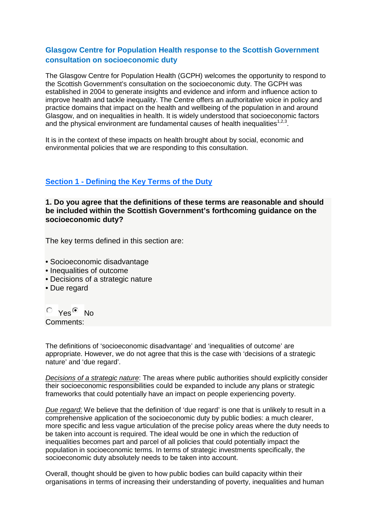### **Glasgow Centre for Population Health response to the Scottish Government consultation on socioeconomic duty**

The Glasgow Centre for Population Health (GCPH) welcomes the opportunity to respond to the Scottish Government's consultation on the socioeconomic duty. The GCPH was established in 2004 to generate insights and evidence and inform and influence action to improve health and tackle inequality. The Centre offers an authoritative voice in policy and practice domains that impact on the health and wellbeing of the population in and around Glasgow, and on inequalities in health. It is widely understood that socioeconomic factors and the physical environment are fundamental causes of health inequalities<sup>1,2,3</sup>.

It is in the context of these impacts on health brought about by social, economic and environmental policies that we are responding to this consultation.

### **Section 1 - [Defining the Key Terms of the Duty](https://consult.scotland.gov.uk/social-justice/the-socio-economic-duty/consultation/subpage.2016-07-07.1474135251/)**

**1. Do you agree that the definitions of these terms are reasonable and should be included within the Scottish Government's forthcoming guidance on the socioeconomic duty?**

The key terms defined in this section are:

- Socioeconomic disadvantage
- Inequalities of outcome
- Decisions of a strategic nature
- Due regard

 $\circ$  Yes  $\circ$  No

Comments:

The definitions of 'socioeconomic disadvantage' and 'inequalities of outcome' are appropriate. However, we do not agree that this is the case with 'decisions of a strategic nature' and 'due regard'.

*Decisions of a strategic nature*: The areas where public authorities should explicitly consider their socioeconomic responsibilities could be expanded to include any plans or strategic frameworks that could potentially have an impact on people experiencing poverty.

*Due regard*: We believe that the definition of 'due regard' is one that is unlikely to result in a comprehensive application of the socioeconomic duty by public bodies: a much clearer, more specific and less vague articulation of the precise policy areas where the duty needs to be taken into account is required. The ideal would be one in which the reduction of inequalities becomes part and parcel of all policies that could potentially impact the population in socioeconomic terms. In terms of strategic investments specifically, the socioeconomic duty absolutely needs to be taken into account.

Overall, thought should be given to how public bodies can build capacity within their organisations in terms of increasing their understanding of poverty, inequalities and human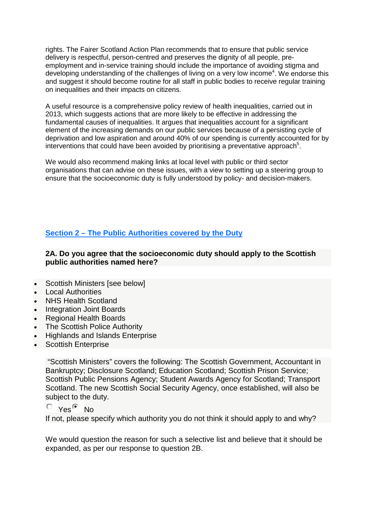rights. The Fairer Scotland Action Plan recommends that to ensure that public service delivery is respectful, person-centred and preserves the dignity of all people, preemployment and in-service training should include the importance of avoiding stigma and developing understanding of the challenges of living on a very low income<sup>4</sup>. We endorse this and suggest it should become routine for all staff in public bodies to receive regular training on inequalities and their impacts on citizens.

A useful resource is a comprehensive policy review of health inequalities, carried out in 2013, which suggests actions that are more likely to be effective in addressing the fundamental causes of inequalities. It argues that inequalities account for a significant element of the increasing demands on our public services because of a persisting cycle of deprivation and low aspiration and around 40% of our spending is currently accounted for by interventions that could have been avoided by prioritising a preventative approach<sup>5</sup>.

We would also recommend making links at local level with public or third sector organisations that can advise on these issues, with a view to setting up a steering group to ensure that the socioeconomic duty is fully understood by policy- and decision-makers.

## **Section 2 – [The Public Authorities covered by the Duty](https://consult.scotland.gov.uk/social-justice/the-socio-economic-duty/consultation/subpage.2017-07-13.3466010221/)**

**2A. Do you agree that the socioeconomic duty should apply to the Scottish public authorities named here?**

- Scottish Ministers [see below]
- Local Authorities
- NHS Health Scotland
- Integration Joint Boards
- Regional Health Boards
- The Scottish Police Authority
- Highlands and Islands Enterprise
- Scottish Enterprise

"Scottish Ministers" covers the following: The Scottish Government, Accountant in Bankruptcy; Disclosure Scotland; Education Scotland; Scottish Prison Service; Scottish Public Pensions Agency; Student Awards Agency for Scotland; Transport Scotland. The new Scottish Social Security Agency, once established, will also be subject to the duty.

 $\circ$  Yes<sup> $\circ$ </sup> No

If not, please specify which authority you do not think it should apply to and why?

We would question the reason for such a selective list and believe that it should be expanded, as per our response to question 2B.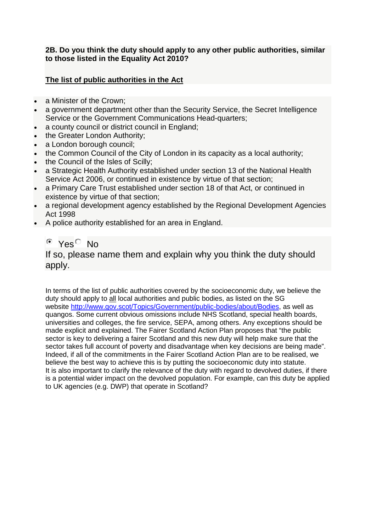### **2B. Do you think the duty should apply to any other public authorities, similar to those listed in the Equality Act 2010?**

## **The list of public authorities in the Act**

- a Minister of the Crown:
- a government department other than the Security Service, the Secret Intelligence Service or the Government Communications Head-quarters;
- a county council or district council in England;
- the Greater London Authority;
- a London borough council;
- the Common Council of the City of London in its capacity as a local authority;
- the Council of the Isles of Scilly;
- a Strategic Health Authority established under section 13 of the National Health Service Act 2006, or continued in existence by virtue of that section;
- a Primary Care Trust established under section 18 of that Act, or continued in existence by virtue of that section;
- a regional development agency established by the Regional Development Agencies Act 1998
- A police authority established for an area in England.

# $^{\circ}$  Yes<sup> $\circ$ </sup> No

If so, please name them and explain why you think the duty should apply.

In terms of the list of public authorities covered by the socioeconomic duty, we believe the duty should apply to all local authorities and public bodies, as listed on the SG website [http://www.gov.scot/Topics/Government/public-bodies/about/Bodies,](http://www.gov.scot/Topics/Government/public-bodies/about/Bodies) as well as quangos. Some current obvious omissions include NHS Scotland, special health boards, universities and colleges, the fire service, SEPA, among others. Any exceptions should be made explicit and explained. The Fairer Scotland Action Plan proposes that "the public sector is key to delivering a fairer Scotland and this new duty will help make sure that the sector takes full account of poverty and disadvantage when key decisions are being made". Indeed, if all of the commitments in the Fairer Scotland Action Plan are to be realised, we believe the best way to achieve this is by putting the socioeconomic duty into statute. It is also important to clarify the relevance of the duty with regard to devolved duties, if there is a potential wider impact on the devolved population. For example, can this duty be applied to UK agencies (e.g. DWP) that operate in Scotland?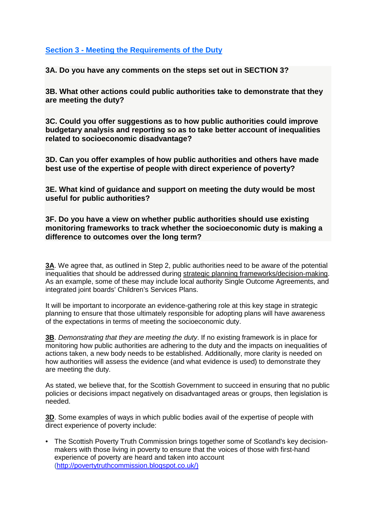### **Section 3 - [Meeting the Requirements of the Duty](https://consult.scotland.gov.uk/social-justice/the-socio-economic-duty/consultation/subpage.2017-07-14.7204316434/)**

**3A. Do you have any comments on the steps set out in SECTION 3?**

**3B. What other actions could public authorities take to demonstrate that they are meeting the duty?**

**3C. Could you offer suggestions as to how public authorities could improve budgetary analysis and reporting so as to take better account of inequalities related to socioeconomic disadvantage?**

**3D. Can you offer examples of how public authorities and others have made best use of the expertise of people with direct experience of poverty?**

**3E. What kind of guidance and support on meeting the duty would be most useful for public authorities?**

**3F. Do you have a view on whether public authorities should use existing monitoring frameworks to track whether the socioeconomic duty is making a difference to outcomes over the long term?**

**3A**. We agree that, as outlined in Step 2, public authorities need to be aware of the potential inequalities that should be addressed during strategic planning frameworks/decision-making. As an example, some of these may include local authority Single Outcome Agreements, and integrated joint boards' Children's Services Plans.

It will be important to incorporate an evidence-gathering role at this key stage in strategic planning to ensure that those ultimately responsible for adopting plans will have awareness of the expectations in terms of meeting the socioeconomic duty.

**3B**. *Demonstrating that they are meeting the duty*. If no existing framework is in place for monitoring how public authorities are adhering to the duty and the impacts on inequalities of actions taken, a new body needs to be established. Additionally, more clarity is needed on how authorities will assess the evidence (and what evidence is used) to demonstrate they are meeting the duty.

As stated, we believe that, for the Scottish Government to succeed in ensuring that no public policies or decisions impact negatively on disadvantaged areas or groups, then legislation is needed.

**3D**. Some examples of ways in which public bodies avail of the expertise of people with direct experience of poverty include:

• The Scottish Poverty Truth Commission brings together some of Scotland's key decisionmakers with those living in poverty to ensure that the voices of those with first-hand experience of poverty are heard and taken into account [\(http://povertytruthcommission.blogspot.co.uk/\)](http://povertytruthcommission.blogspot.co.uk/)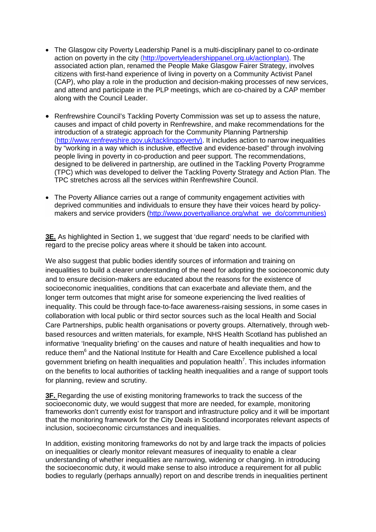- The Glasgow city Poverty Leadership Panel is a multi-disciplinary panel to co-ordinate action on poverty in the city [\(http://povertyleadershippanel.org.uk/actionplan\)](http://povertyleadershippanel.org.uk/actionplan). The associated action plan, renamed the People Make Glasgow Fairer Strategy, involves citizens with first-hand experience of living in poverty on a Community Activist Panel (CAP), who play a role in the production and decision-making processes of new services, and attend and participate in the PLP meetings, which are co-chaired by a CAP member along with the Council Leader.
- Renfrewshire Council's Tackling Poverty Commission was set up to assess the nature, causes and impact of child poverty in Renfrewshire, and make recommendations for the introduction of a strategic approach for the Community Planning Partnership [\(http://www.renfrewshire.gov.uk/tacklingpoverty\)](http://www.renfrewshire.gov.uk/tacklingpoverty). It includes action to narrow inequalities by "working in a way which is inclusive, effective and evidence-based" through involving people living in poverty in co-production and peer support. The recommendations, designed to be delivered in partnership, are outlined in the Tackling Poverty Programme (TPC) which was developed to deliver the Tackling Poverty Strategy and Action Plan. The TPC stretches across all the services within Renfrewshire Council.
- The Poverty Alliance carries out a range of community engagement activities with deprived communities and individuals to ensure they have their voices heard by policy-makers and service providers [\(http://www.povertyalliance.org/what\\_we\\_do/communities\)](http://www.povertyalliance.org/what_we_do/communities)

**3E.** As highlighted in Section 1, we suggest that 'due regard' needs to be clarified with regard to the precise policy areas where it should be taken into account.

We also suggest that public bodies identify sources of information and training on inequalities to build a clearer understanding of the need for adopting the socioeconomic duty and to ensure decision-makers are educated about the reasons for the existence of socioeconomic inequalities, conditions that can exacerbate and alleviate them, and the longer term outcomes that might arise for someone experiencing the lived realities of inequality. This could be through face-to-face awareness-raising sessions, in some cases in collaboration with local public or third sector sources such as the local Health and Social Care Partnerships, public health organisations or poverty groups. Alternatively, through webbased resources and written materials, for example, NHS Health Scotland has published an informative 'Inequality briefing' on the causes and nature of health inequalities and how to reduce them<sup>6</sup> and the National Institute for Health and Care Excellence published a local government briefing on health inequalities and population health<sup>7</sup>. This includes information on the benefits to local authorities of tackling health inequalities and a range of support tools for planning, review and scrutiny.

**3F.** Regarding the use of existing monitoring frameworks to track the success of the socioeconomic duty, we would suggest that more are needed, for example, monitoring frameworks don't currently exist for transport and infrastructure policy and it will be important that the monitoring framework for the City Deals in Scotland incorporates relevant aspects of inclusion, socioeconomic circumstances and inequalities.

In addition, existing monitoring frameworks do not by and large track the impacts of policies on inequalities or clearly monitor relevant measures of inequality to enable a clear understanding of whether inequalities are narrowing, widening or changing. In introducing the socioeconomic duty, it would make sense to also introduce a requirement for all public bodies to regularly (perhaps annually) report on and describe trends in inequalities pertinent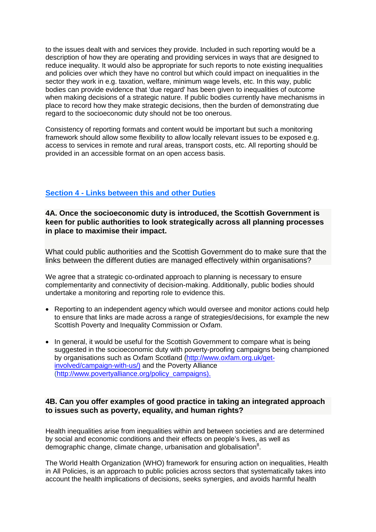to the issues dealt with and services they provide. Included in such reporting would be a description of how they are operating and providing services in ways that are designed to reduce inequality. It would also be appropriate for such reports to note existing inequalities and policies over which they have no control but which could impact on inequalities in the sector they work in e.g. taxation, welfare, minimum wage levels, etc. In this way, public bodies can provide evidence that 'due regard' has been given to inequalities of outcome when making decisions of a strategic nature. If public bodies currently have mechanisms in place to record how they make strategic decisions, then the burden of demonstrating due regard to the socioeconomic duty should not be too onerous.

Consistency of reporting formats and content would be important but such a monitoring framework should allow some flexibility to allow locally relevant issues to be exposed e.g. access to services in remote and rural areas, transport costs, etc. All reporting should be provided in an accessible format on an open access basis.

### **Section 4 - [Links between this and other Duties](https://consult.scotland.gov.uk/social-justice/the-socio-economic-duty/consultation/subpage.2017-07-14.5129028207/)**

**4A. Once the socioeconomic duty is introduced, the Scottish Government is keen for public authorities to look strategically across all planning processes in place to maximise their impact.**

What could public authorities and the Scottish Government do to make sure that the links between the different duties are managed effectively within organisations?

We agree that a strategic co-ordinated approach to planning is necessary to ensure complementarity and connectivity of decision-making. Additionally, public bodies should undertake a monitoring and reporting role to evidence this.

- Reporting to an independent agency which would oversee and monitor actions could help to ensure that links are made across a range of strategies/decisions, for example the new Scottish Poverty and Inequality Commission or Oxfam.
- In general, it would be useful for the Scottish Government to compare what is being suggested in the socioeconomic duty with poverty-proofing campaigns being championed by organisations such as Oxfam Scotland [\(http://www.oxfam.org.uk/get](http://www.oxfam.org.uk/get-involved/campaign-with-us/)[involved/campaign-with-us/\)](http://www.oxfam.org.uk/get-involved/campaign-with-us/) and the Poverty Alliance [\(http://www.povertyalliance.org/policy\\_campaigns\)](http://www.povertyalliance.org/policy_campaigns).

### **4B. Can you offer examples of good practice in taking an integrated approach to issues such as poverty, equality, and human rights?**

Health inequalities arise from inequalities within and between societies and are determined by social and economic conditions and their effects on people's lives, as well as demographic change, climate change, urbanisation and globalisation<sup>8</sup>.

The World Health Organization (WHO) framework for ensuring action on inequalities, Health in All Policies, is an approach to public policies across sectors that systematically takes into account the health implications of decisions, seeks synergies, and avoids harmful health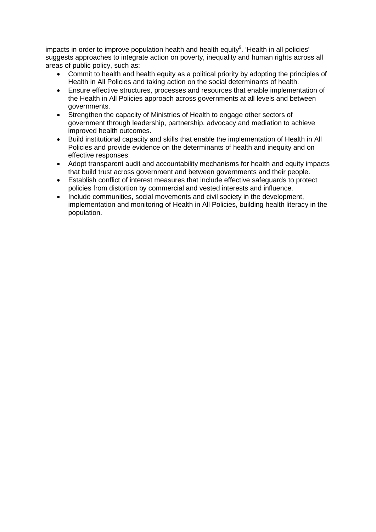impacts in order to improve population health and health equity<sup>9</sup>. 'Health in all policies' suggests approaches to integrate action on poverty, inequality and human rights across all areas of public policy, such as:

- Commit to health and health equity as a political priority by adopting the principles of Health in All Policies and taking action on the social determinants of health.
- Ensure effective structures, processes and resources that enable implementation of the Health in All Policies approach across governments at all levels and between governments.
- Strengthen the capacity of Ministries of Health to engage other sectors of government through leadership, partnership, advocacy and mediation to achieve improved health outcomes.
- Build institutional capacity and skills that enable the implementation of Health in All Policies and provide evidence on the determinants of health and inequity and on effective responses.
- Adopt transparent audit and accountability mechanisms for health and equity impacts that build trust across government and between governments and their people.
- Establish conflict of interest measures that include effective safeguards to protect policies from distortion by commercial and vested interests and influence.
- Include communities, social movements and civil society in the development, implementation and monitoring of Health in All Policies, building health literacy in the population.